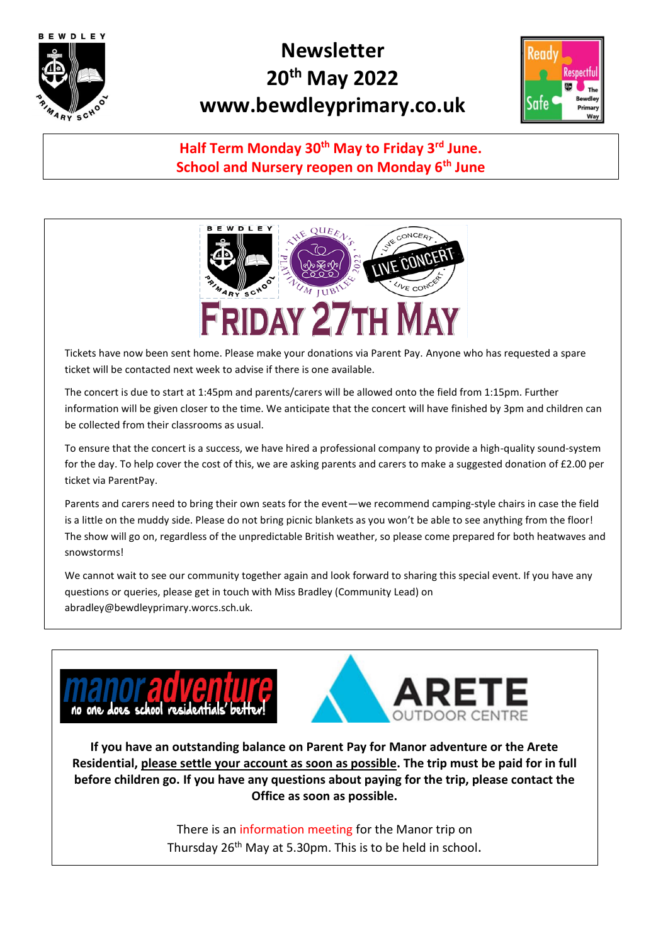

## **Newsletter 20th May 2022 www.bewdleyprimary.co.uk**



## **Half Term Monday 30th May to Friday 3rd June. School and Nursery reopen on Monday 6th June**



Tickets have now been sent home. Please make your donations via Parent Pay. Anyone who has requested a spare ticket will be contacted next week to advise if there is one available.

The concert is due to start at 1:45pm and parents/carers will be allowed onto the field from 1:15pm. Further information will be given closer to the time. We anticipate that the concert will have finished by 3pm and children can be collected from their classrooms as usual.

To ensure that the concert is a success, we have hired a professional company to provide a high-quality sound-system for the day. To help cover the cost of this, we are asking parents and carers to make a suggested donation of £2.00 per ticket via ParentPay.

Parents and carers need to bring their own seats for the event—we recommend camping-style chairs in case the field is a little on the muddy side. Please do not bring picnic blankets as you won't be able to see anything from the floor! The show will go on, regardless of the unpredictable British weather, so please come prepared for both heatwaves and snowstorms!

We cannot wait to see our community together again and look forward to sharing this special event. If you have any questions or queries, please get in touch with Miss Bradley (Community Lead) on abradley@bewdleyprimary.worcs.sch.uk.



**If you have an outstanding balance on Parent Pay for Manor adventure or the Arete Residential, please settle your account as soon as possible. The trip must be paid for in full before children go. If you have any questions about paying for the trip, please contact the Office as soon as possible.** 

> There is an information meeting for the Manor trip on Thursday 26<sup>th</sup> May at 5.30pm. This is to be held in school.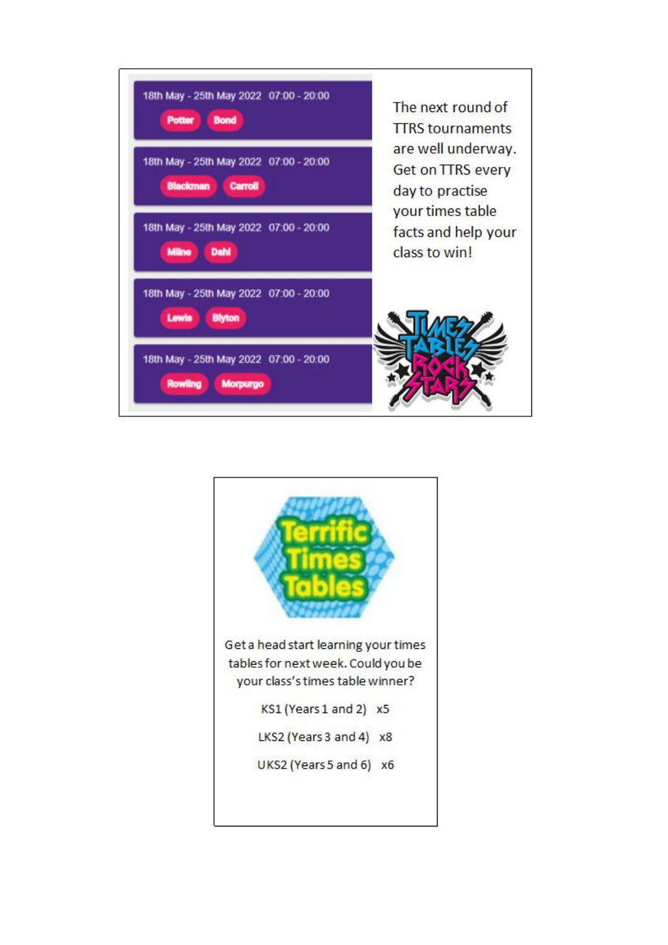

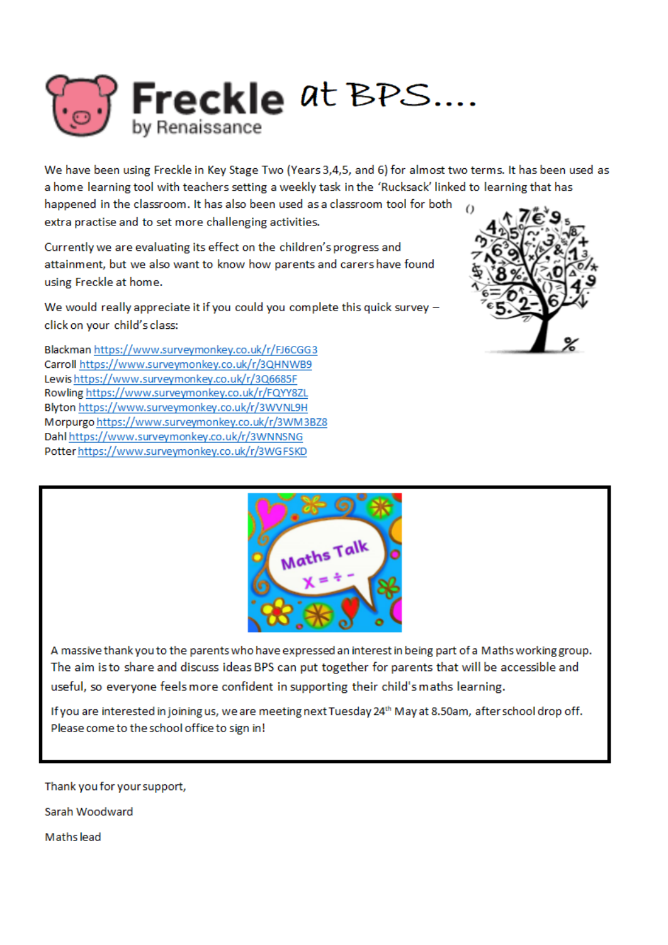

We have been using Freckle in Key Stage Two (Years 3,4,5, and 6) for almost two terms. It has been used as a home learning tool with teachers setting a weekly task in the 'Rucksack' linked to learning that has

happened in the classroom. It has also been used as a classroom tool for both extra practise and to set more challenging activities.

Currently we are evaluating its effect on the children's progress and attainment, but we also want to know how parents and carers have found using Freckle at home.

We would really appreciate it if you could you complete this quick survey click on your child's class:

Blackman https://www.surveymonkey.co.uk/r/FJ6CGG3 Carroll https://www.surveymonkey.co.uk/r/3QHNWB9 Lewishttps://www.surveymonkey.co.uk/r/3Q6685F Rowling https://www.surveymonkey.co.uk/r/FQYY8ZL Blyton https://www.surveymonkey.co.uk/r/3WVNL9H Morpurgo https://www.surveymonkey.co.uk/r/3WM3BZ8 Dahl https://www.surveymonkey.co.uk/r/3WNNSNG Potter https://www.surveymonkey.co.uk/r/3WGFSKD





A massive thank you to the parents who have expressed an interest in being part of a Maths working group. The aim is to share and discuss ideas BPS can put together for parents that will be accessible and useful, so everyone feels more confident in supporting their child's maths learning.

If you are interested in joining us, we are meeting next Tuesday 24th May at 8.50am, after school drop off. Please come to the school office to sign in!

Thank you for your support,

Sarah Woodward

Mathslead